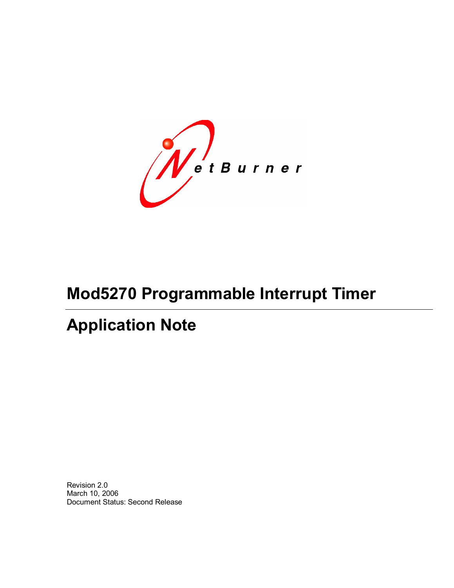WetBurner

# **Mod5270 Programmable Interrupt Timer**

# **Application Note**

Revision 2.0 March 10, 2006 Document Status: Second Release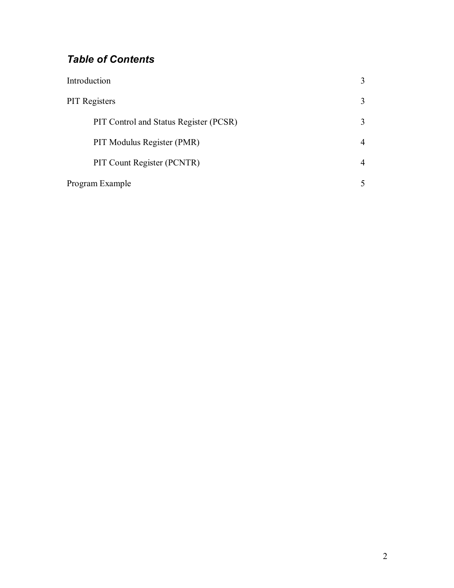# *Table of Contents*

| Introduction                           |   |
|----------------------------------------|---|
| <b>PIT</b> Registers                   | 3 |
| PIT Control and Status Register (PCSR) | 3 |
| PIT Modulus Register (PMR)             |   |
| PIT Count Register (PCNTR)             |   |
| Program Example                        |   |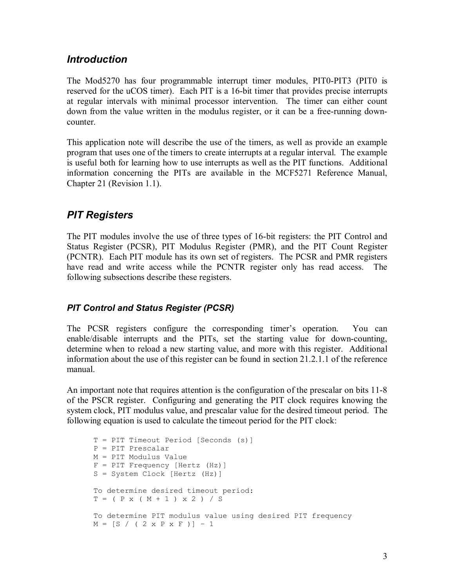### *Introduction*

The Mod5270 has four programmable interrupt timer modules, PIT0-PIT3 (PIT0 is reserved for the uCOS timer). Each PIT is a 16-bit timer that provides precise interrupts at regular intervals with minimal processor intervention. The timer can either count down from the value written in the modulus register, or it can be a free-running downcounter.

This application note will describe the use of the timers, as well as provide an example program that uses one of the timers to create interrupts at a regular interval. The example is useful both for learning how to use interrupts as well as the PIT functions. Additional information concerning the PITs are available in the MCF5271 Reference Manual, Chapter 21 (Revision 1.1).

## *PIT Registers*

The PIT modules involve the use of three types of 16-bit registers: the PIT Control and Status Register (PCSR), PIT Modulus Register (PMR), and the PIT Count Register (PCNTR). Each PIT module has its own set of registers. The PCSR and PMR registers have read and write access while the PCNTR register only has read access. The following subsections describe these registers.

#### *PIT Control and Status Register (PCSR)*

The PCSR registers configure the corresponding timer's operation. You can enable/disable interrupts and the PITs, set the starting value for down-counting, determine when to reload a new starting value, and more with this register. Additional information about the use of this register can be found in section 21.2.1.1 of the reference manual.

An important note that requires attention is the configuration of the prescalar on bits 11-8 of the PSCR register. Configuring and generating the PIT clock requires knowing the system clock, PIT modulus value, and prescalar value for the desired timeout period. The following equation is used to calculate the timeout period for the PIT clock:

```
T = PIT Timeout Period [Seconds (s)]
P = PIT Prescalar 
M = PIT Modulus Value 
F = PIT Frequency [Hertz (Hz)]
S = System Clock [Hertz (Hz)] 
To determine desired timeout period:
T = ( P x ( M + 1 ) x 2 ) / STo determine PIT modulus value using desired PIT frequency
M = [S / (2 \times P \times F)] - 1
```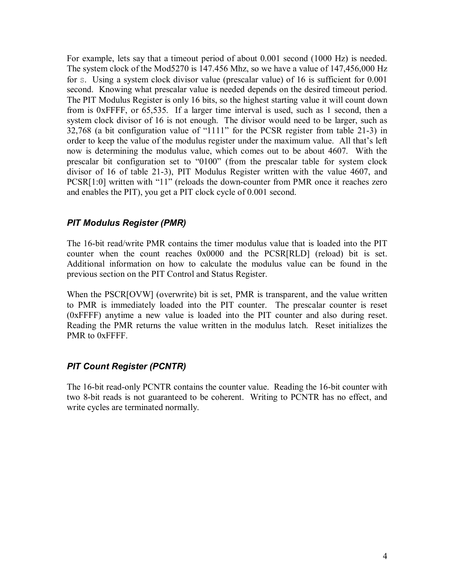For example, lets say that a timeout period of about 0.001 second (1000 Hz) is needed. The system clock of the Mod5270 is 147.456 Mhz, so we have a value of 147,456,000 Hz for S. Using a system clock divisor value (prescalar value) of 16 is sufficient for 0.001 second. Knowing what prescalar value is needed depends on the desired timeout period. The PIT Modulus Register is only 16 bits, so the highest starting value it will count down from is 0xFFFF, or 65,535. If a larger time interval is used, such as 1 second, then a system clock divisor of 16 is not enough. The divisor would need to be larger, such as 32,768 (a bit configuration value of "1111" for the PCSR register from table 21-3) in order to keep the value of the modulus register under the maximum value. All that's left now is determining the modulus value, which comes out to be about 4607. With the prescalar bit configuration set to "0100" (from the prescalar table for system clock divisor of 16 of table 21-3), PIT Modulus Register written with the value 4607, and PCSR[1:0] written with "11" (reloads the down-counter from PMR once it reaches zero and enables the PIT), you get a PIT clock cycle of 0.001 second.

#### *PIT Modulus Register (PMR)*

The 16-bit read/write PMR contains the timer modulus value that is loaded into the PIT counter when the count reaches 0x0000 and the PCSR[RLD] (reload) bit is set. Additional information on how to calculate the modulus value can be found in the previous section on the PIT Control and Status Register.

When the PSCR[OVW] (overwrite) bit is set, PMR is transparent, and the value written to PMR is immediately loaded into the PIT counter. The prescalar counter is reset (0xFFFF) anytime a new value is loaded into the PIT counter and also during reset. Reading the PMR returns the value written in the modulus latch. Reset initializes the PMR to 0xFFFF.

#### *PIT Count Register (PCNTR)*

The 16-bit read-only PCNTR contains the counter value. Reading the 16-bit counter with two 8-bit reads is not guaranteed to be coherent. Writing to PCNTR has no effect, and write cycles are terminated normally.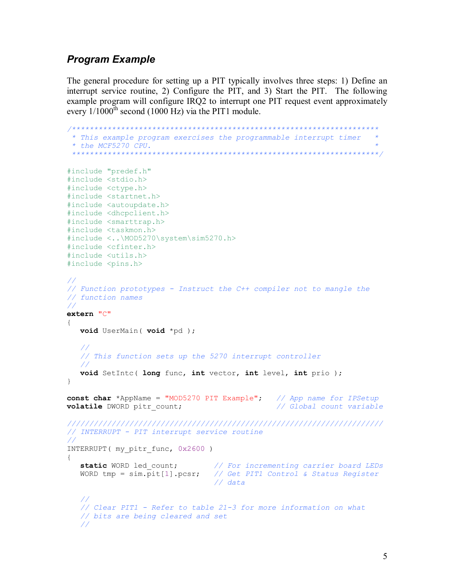### *Program Example*

The general procedure for setting up a PIT typically involves three steps: 1) Define an interrupt service routine, 2) Configure the PIT, and 3) Start the PIT. The following example program will configure IRQ2 to interrupt one PIT request event approximately every  $1/1000$ <sup>th</sup> second (1000 Hz) via the PIT1 module.

```
/*********************************************************************
 * This example program exercises the programmable interrupt timer   * 
 * the MCF5270 CPU.                                                  * 
                  *********************************************************************/
#include "predef.h" 
#include <stdio.h>
#include <ctype.h>
#include <startnet.h> 
#include <autoupdate.h> 
#include <dhcpclient.h> 
#include <smarttrap.h>
#include <taskmon.h>
#include <..\MOD5270\system\sim5270.h>
#include <cfinter.h>
#include <utils.h>
#include <pins.h>
//
// Function prototypes  Instruct the C++ compiler not to mangle the
// function names 
//
extern "C" 
{
   void UserMain( void *pd );
   //
   // This function sets up the 5270 interrupt controller
   //
   void SetIntc( long func, int vector, int level, int prio );
}
const char *AppName = "MOD5270 PIT Example"; // App name for IPSetup
volatile DWORD pitr count;
/////////////////////////////////////////////////////////////////////// 
// INTERRUPT  PIT interrupt service routine
//
INTERRUPT( my_pitr_func, 0x2600 )
{
   static WORD led_count; // For incrementing carrier board LEDs
   WORD tmp = sim.pit[1].pcsr; // Get PIT1 Control & Status Register 
                                  // data 
   //
   // Clear PIT1  Refer to table 213 for more information on what
   // bits are being cleared and set 
   //
```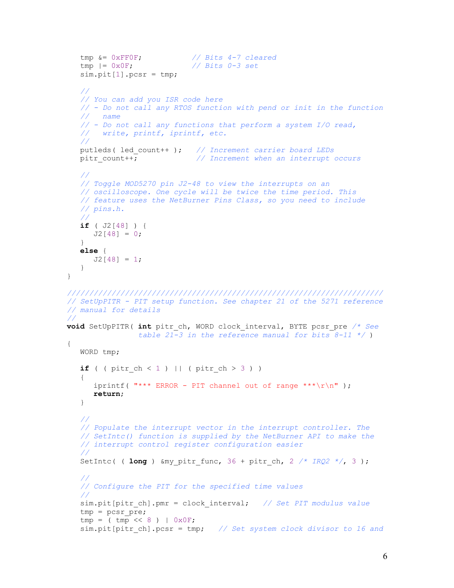```
tmp &= 0xFF0F; // Bits 47 cleared
  tmp \&= 0 \times FFOF;<br>
tmp \mid= 0 \times OF;sim.pit[1].pcsr = tmp;
   //
   // You can add you ISR code here
  //  Do not call any RTOS function with pend or init in the function
  //   name 
   //  Do not call any functions that perform a system I/O read,
   //   write, printf, iprintf, etc. 
   //
  putleds( led_count++ ); // Increment carrier board LEDs
  pitr_count++; // Increment when an interrupt occurs 
   //
   // Toggle MOD5270 pin J248 to view the interrupts on an
  // oscilloscope. One cycle will be twice the time period. This
  // feature uses the NetBurner Pins Class, so you need to include
  // pins.h.
  //
  if ( J2[48] ) { 
     J2[48] = 0;}
  else {
    J2[48] = 1;} 
/////////////////////////////////////////////////////////////////////// 
// SetUpPITR  PIT setup function. See chapter 21 of the 5271 reference 
// manual for details 
//
void SetUpPITR( int pitr_ch, WORD clock_interval, BYTE pcsr_pre /* See
                table 21-3 in the reference manual for bits 8-11 \times/
{ 
  WORD tmp;
  if ( ( pi ch < 1 ) || ( pi ch > 3 ) )
   { 
     iprintf( "*** ERROR - PIT channel out of range ***\r\n\cdot);
     return; 
  }
   //
   // Populate the interrupt vector in the interrupt controller. The 
   // SetIntc() function is supplied by the NetBurner API to make the
  // interrupt control register configuration easier
   //
  SetIntc( ( long ) &my pitr func, 36 + \text{pitr ch}, 2 \frac{\pi}{3} /;
   //
   // Configure the PIT for the specified time values
   //
  sim.pit[pitr_ch].pmr = clock_interval; // Set PIT modulus value
  tmp = pcsr_pre; 
  tmp = (tmp \leq 8) | 0x0F;sim.pit[pitr_ch].pcsr = tmp; // Set system clock divisor to 16 and
```
}